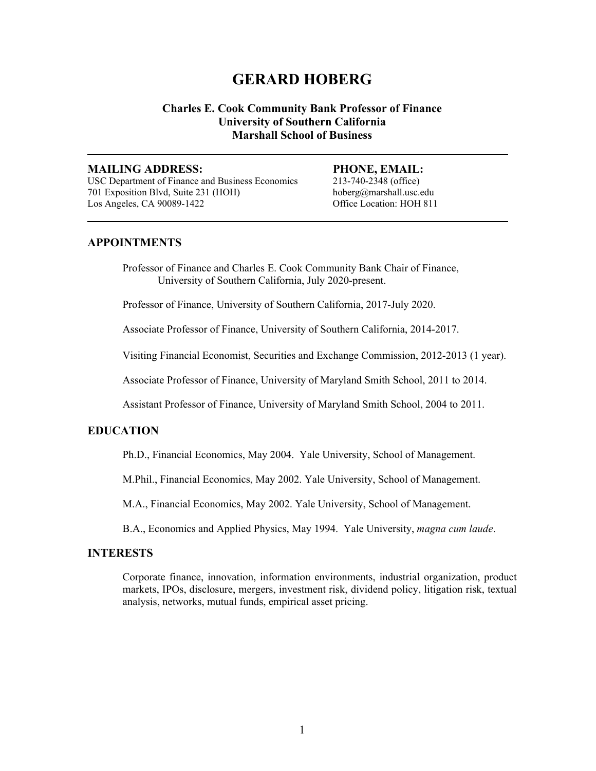# **GERARD HOBERG**

# **Charles E. Cook Community Bank Professor of Finance University of Southern California Marshall School of Business**

**\_\_\_\_\_\_\_\_\_\_\_\_\_\_\_\_\_\_\_\_\_\_\_\_\_\_\_\_\_\_\_\_\_\_\_\_\_\_\_\_\_\_\_\_\_\_\_\_\_\_\_\_\_\_\_\_\_\_\_\_\_\_\_\_\_\_\_\_\_\_\_\_** 

**\_\_\_\_\_\_\_\_\_\_\_\_\_\_\_\_\_\_\_\_\_\_\_\_\_\_\_\_\_\_\_\_\_\_\_\_\_\_\_\_\_\_\_\_\_\_\_\_\_\_\_\_\_\_\_\_\_\_\_\_\_\_\_\_\_\_\_\_\_\_\_\_** 

#### **MAILING ADDRESS: PHONE, EMAIL:**

USC Department of Finance and Business Economics 213-740-2348 (office) 701 Exposition Blvd, Suite 231 (HOH) hoberg@marshall.usc.edu Los Angeles, CA 90089-1422 Office Location: HOH 811

## **APPOINTMENTS**

Professor of Finance and Charles E. Cook Community Bank Chair of Finance, University of Southern California, July 2020-present.

Professor of Finance, University of Southern California, 2017-July 2020.

Associate Professor of Finance, University of Southern California, 2014-2017.

Visiting Financial Economist, Securities and Exchange Commission, 2012-2013 (1 year).

Associate Professor of Finance, University of Maryland Smith School, 2011 to 2014.

Assistant Professor of Finance, University of Maryland Smith School, 2004 to 2011.

# **EDUCATION**

Ph.D., Financial Economics, May 2004. Yale University, School of Management.

M.Phil., Financial Economics, May 2002. Yale University, School of Management.

M.A., Financial Economics, May 2002. Yale University, School of Management.

B.A., Economics and Applied Physics, May 1994. Yale University, *magna cum laude*.

#### **INTERESTS**

Corporate finance, innovation, information environments, industrial organization, product markets, IPOs, disclosure, mergers, investment risk, dividend policy, litigation risk, textual analysis, networks, mutual funds, empirical asset pricing.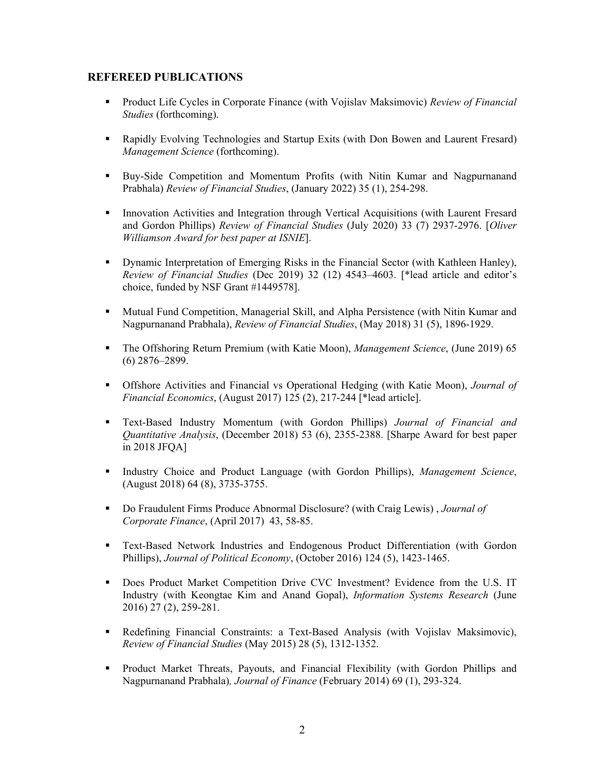# **REFEREED PUBLICATIONS**

- Product Life Cycles in Corporate Finance (with Vojislav Maksimovic) *Review of Financial Studies* (forthcoming).
- Rapidly Evolving Technologies and Startup Exits (with Don Bowen and Laurent Fresard) *Management Science* (forthcoming).
- Buy-Side Competition and Momentum Profits (with Nitin Kumar and Nagpurnanand Prabhala) *Review of Financial Studies*, (January 2022) 35 (1), 254-298.
- **Innovation Activities and Integration through Vertical Acquisitions (with Laurent Fresard** and Gordon Phillips) *Review of Financial Studies* (July 2020) 33 (7) 2937-2976. [*Oliver Williamson Award for best paper at ISNIE*].
- **•** Dynamic Interpretation of Emerging Risks in the Financial Sector (with Kathleen Hanley), *Review of Financial Studies* (Dec 2019) 32 (12) 4543–4603. [\*lead article and editor's choice, funded by NSF Grant #1449578].
- Mutual Fund Competition, Managerial Skill, and Alpha Persistence (with Nitin Kumar and Nagpurnanand Prabhala), *Review of Financial Studies*, (May 2018) 31 (5), 1896-1929.
- The Offshoring Return Premium (with Katie Moon), *Management Science*, (June 2019) 65 (6) 2876–2899.
- Offshore Activities and Financial vs Operational Hedging (with Katie Moon), *Journal of Financial Economics*, (August 2017) 125 (2), 217-244 [\*lead article].
- Text-Based Industry Momentum (with Gordon Phillips) *Journal of Financial and Quantitative Analysis*, (December 2018) 53 (6), 2355-2388. [Sharpe Award for best paper in 2018 JFQA]
- Industry Choice and Product Language (with Gordon Phillips), *Management Science*, (August 2018) 64 (8), 3735-3755.
- Do Fraudulent Firms Produce Abnormal Disclosure? (with Craig Lewis) , *Journal of Corporate Finance*, (April 2017) 43, 58-85.
- Text-Based Network Industries and Endogenous Product Differentiation (with Gordon Phillips), *Journal of Political Economy*, (October 2016) 124 (5), 1423-1465.
- Does Product Market Competition Drive CVC Investment? Evidence from the U.S. IT Industry (with Keongtae Kim and Anand Gopal), *Information Systems Research* (June 2016) 27 (2), 259-281.
- Redefining Financial Constraints: a Text-Based Analysis (with Vojislav Maksimovic), *Review of Financial Studies* (May 2015) 28 (5), 1312-1352.
- Product Market Threats, Payouts, and Financial Flexibility (with Gordon Phillips and Nagpurnanand Prabhala)*, Journal of Finance* (February 2014) 69 (1), 293-324.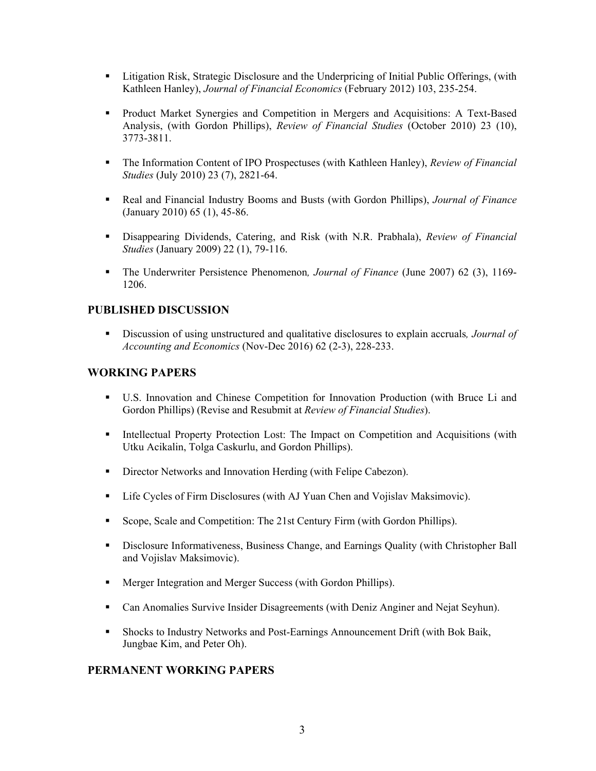- **Example 1.4** Litigation Risk, Strategic Disclosure and the Underpricing of Initial Public Offerings, (with Kathleen Hanley), *Journal of Financial Economics* (February 2012) 103, 235-254.
- Product Market Synergies and Competition in Mergers and Acquisitions: A Text-Based Analysis, (with Gordon Phillips), *Review of Financial Studies* (October 2010) 23 (10), 3773-3811.
- The Information Content of IPO Prospectuses (with Kathleen Hanley), *Review of Financial Studies* (July 2010) 23 (7), 2821-64.
- Real and Financial Industry Booms and Busts (with Gordon Phillips), *Journal of Finance*  (January 2010) 65 (1), 45-86.
- Disappearing Dividends, Catering, and Risk (with N.R. Prabhala), *Review of Financial Studies* (January 2009) 22 (1), 79-116.
- The Underwriter Persistence Phenomenon*, Journal of Finance* (June 2007) 62 (3), 1169- 1206.

# **PUBLISHED DISCUSSION**

 Discussion of using unstructured and qualitative disclosures to explain accruals*, Journal of Accounting and Economics* (Nov-Dec 2016) 62 (2-3), 228-233.

# **WORKING PAPERS**

- U.S. Innovation and Chinese Competition for Innovation Production (with Bruce Li and Gordon Phillips) (Revise and Resubmit at *Review of Financial Studies*).
- Intellectual Property Protection Lost: The Impact on Competition and Acquisitions (with Utku Acikalin, Tolga Caskurlu, and Gordon Phillips).
- Director Networks and Innovation Herding (with Felipe Cabezon).
- Life Cycles of Firm Disclosures (with AJ Yuan Chen and Vojislav Maksimovic).
- Scope, Scale and Competition: The 21st Century Firm (with Gordon Phillips).
- **Disclosure Informativeness, Business Change, and Earnings Quality (with Christopher Ball** and Vojislav Maksimovic).
- Merger Integration and Merger Success (with Gordon Phillips).
- Can Anomalies Survive Insider Disagreements (with Deniz Anginer and Nejat Seyhun).
- Shocks to Industry Networks and Post-Earnings Announcement Drift (with Bok Baik, Jungbae Kim, and Peter Oh).

# **PERMANENT WORKING PAPERS**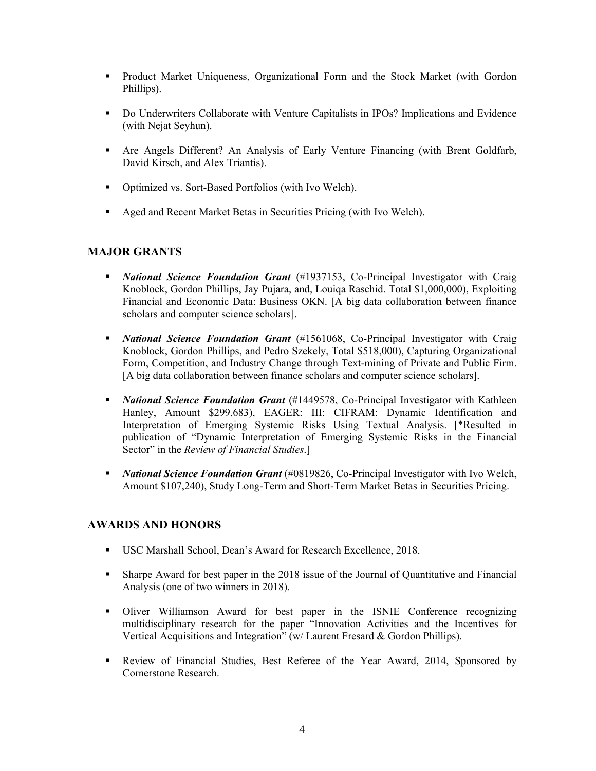- **Product Market Uniqueness, Organizational Form and the Stock Market (with Gordon** Phillips).
- Do Underwriters Collaborate with Venture Capitalists in IPOs? Implications and Evidence (with Nejat Seyhun).
- Are Angels Different? An Analysis of Early Venture Financing (with Brent Goldfarb, David Kirsch, and Alex Triantis).
- Optimized vs. Sort-Based Portfolios (with Ivo Welch).
- Aged and Recent Market Betas in Securities Pricing (with Ivo Welch).

# **MAJOR GRANTS**

- *National Science Foundation Grant* (#1937153, Co-Principal Investigator with Craig Knoblock, Gordon Phillips, Jay Pujara, and, Louiqa Raschid. Total \$1,000,000), Exploiting Financial and Economic Data: Business OKN. [A big data collaboration between finance scholars and computer science scholars].
- *National Science Foundation Grant* (#1561068, Co-Principal Investigator with Craig Knoblock, Gordon Phillips, and Pedro Szekely, Total \$518,000), Capturing Organizational Form, Competition, and Industry Change through Text-mining of Private and Public Firm. [A big data collaboration between finance scholars and computer science scholars].
- **National Science Foundation Grant** (#1449578, Co-Principal Investigator with Kathleen Hanley, Amount \$299,683), EAGER: III: CIFRAM: Dynamic Identification and Interpretation of Emerging Systemic Risks Using Textual Analysis. [\*Resulted in publication of "Dynamic Interpretation of Emerging Systemic Risks in the Financial Sector" in the *Review of Financial Studies*.]
- *National Science Foundation Grant* (#0819826, Co-Principal Investigator with Ivo Welch, Amount \$107,240), Study Long-Term and Short-Term Market Betas in Securities Pricing.

# **AWARDS AND HONORS**

- USC Marshall School, Dean's Award for Research Excellence, 2018.
- Sharpe Award for best paper in the 2018 issue of the Journal of Quantitative and Financial Analysis (one of two winners in 2018).
- Oliver Williamson Award for best paper in the ISNIE Conference recognizing multidisciplinary research for the paper "Innovation Activities and the Incentives for Vertical Acquisitions and Integration" (w/ Laurent Fresard & Gordon Phillips).
- Review of Financial Studies, Best Referee of the Year Award, 2014, Sponsored by Cornerstone Research.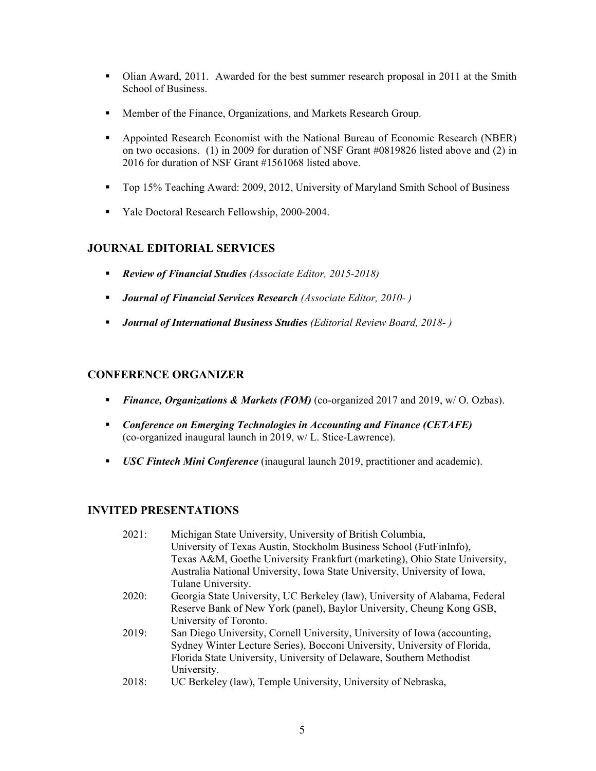- Olian Award, 2011. Awarded for the best summer research proposal in 2011 at the Smith School of Business.
- Member of the Finance, Organizations, and Markets Research Group.
- Appointed Research Economist with the National Bureau of Economic Research (NBER) on two occasions. (1) in 2009 for duration of NSF Grant #0819826 listed above and (2) in 2016 for duration of NSF Grant #1561068 listed above.
- Top 15% Teaching Award: 2009, 2012, University of Maryland Smith School of Business
- Vale Doctoral Research Fellowship, 2000-2004.

# **JOURNAL EDITORIAL SERVICES**

- *Review of Financial Studies (Associate Editor, 2015-2018)*
- *Journal of Financial Services Research (Associate Editor, 2010- )*
- *Journal of International Business Studies (Editorial Review Board, 2018- )*

# **CONFERENCE ORGANIZER**

- **Finance, Organizations & Markets (FOM)** (co-organized 2017 and 2019, w/ O. Ozbas).
- *Conference on Emerging Technologies in Accounting and Finance (CETAFE)* (co-organized inaugural launch in 2019, w/ L. Stice-Lawrence).
- *USC Fintech Mini Conference* (inaugural launch 2019, practitioner and academic).

# **INVITED PRESENTATIONS**

| 2021: | Michigan State University, University of British Columbia,                  |
|-------|-----------------------------------------------------------------------------|
|       | University of Texas Austin, Stockholm Business School (FutFinInfo),         |
|       | Texas A&M, Goethe University Frankfurt (marketing), Ohio State University,  |
|       | Australia National University, Iowa State University, University of Iowa,   |
|       | Tulane University.                                                          |
| 2020: | Georgia State University, UC Berkeley (law), University of Alabama, Federal |
|       | Reserve Bank of New York (panel), Baylor University, Cheung Kong GSB,       |
|       | University of Toronto.                                                      |
| 2019: | San Diego University, Cornell University, University of Iowa (accounting,   |
|       | Sydney Winter Lecture Series), Bocconi University, University of Florida,   |
|       | Florida State University, University of Delaware, Southern Methodist        |
|       | University.                                                                 |
| 2018: | UC Berkeley (law), Temple University, University of Nebraska,               |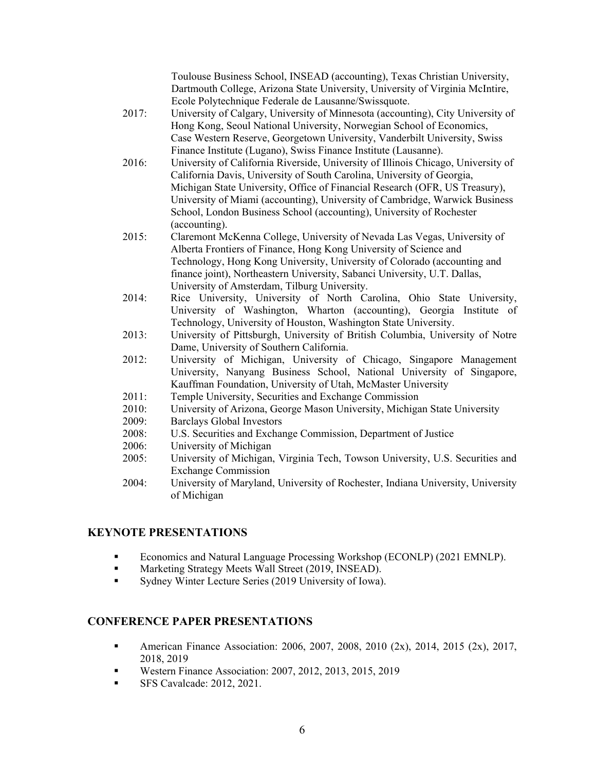Toulouse Business School, INSEAD (accounting), Texas Christian University, Dartmouth College, Arizona State University, University of Virginia McIntire, Ecole Polytechnique Federale de Lausanne/Swissquote.

- 2017: University of Calgary, University of Minnesota (accounting), City University of Hong Kong, Seoul National University, Norwegian School of Economics, Case Western Reserve, Georgetown University, Vanderbilt University, Swiss Finance Institute (Lugano), Swiss Finance Institute (Lausanne).
- 2016: University of California Riverside, University of Illinois Chicago, University of California Davis, University of South Carolina, University of Georgia, Michigan State University, Office of Financial Research (OFR, US Treasury), University of Miami (accounting), University of Cambridge, Warwick Business School, London Business School (accounting), University of Rochester (accounting).
- 2015: Claremont McKenna College, University of Nevada Las Vegas, University of Alberta Frontiers of Finance, Hong Kong University of Science and Technology, Hong Kong University, University of Colorado (accounting and finance joint), Northeastern University, Sabanci University, U.T. Dallas, University of Amsterdam, Tilburg University.
- 2014: Rice University, University of North Carolina, Ohio State University, University of Washington, Wharton (accounting), Georgia Institute of Technology, University of Houston, Washington State University.
- 2013: University of Pittsburgh, University of British Columbia, University of Notre Dame, University of Southern California.
- 2012: University of Michigan, University of Chicago, Singapore Management University, Nanyang Business School, National University of Singapore, Kauffman Foundation, University of Utah, McMaster University
- 2011: Temple University, Securities and Exchange Commission
- 2010: University of Arizona, George Mason University, Michigan State University
- 2009: Barclays Global Investors
- 2008: U.S. Securities and Exchange Commission, Department of Justice
- 2006: University of Michigan
- 2005: University of Michigan, Virginia Tech, Towson University, U.S. Securities and Exchange Commission
- 2004: University of Maryland, University of Rochester, Indiana University, University of Michigan

# **KEYNOTE PRESENTATIONS**

- **Economics and Natural Language Processing Workshop (ECONLP) (2021 EMNLP).**
- **Marketing Strategy Meets Wall Street (2019, INSEAD).**
- Sydney Winter Lecture Series (2019 University of Iowa).

# **CONFERENCE PAPER PRESENTATIONS**

- American Finance Association: 2006, 2007, 2008, 2010 (2x), 2014, 2015 (2x), 2017, 2018, 2019
- Western Finance Association: 2007, 2012, 2013, 2015, 2019
- **SFS Cavalcade: 2012, 2021.**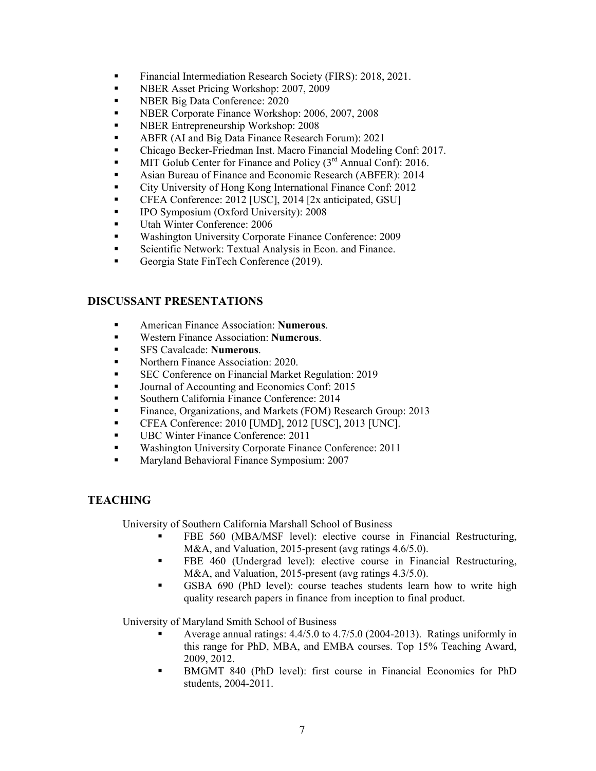- **Financial Intermediation Research Society (FIRS): 2018, 2021.**
- **NBER Asset Pricing Workshop: 2007, 2009**
- **NBER Big Data Conference: 2020**
- **NBER Corporate Finance Workshop: 2006, 2007, 2008**
- **NBER Entrepreneurship Workshop: 2008**
- **ABFR (AI and Big Data Finance Research Forum): 2021**
- Chicago Becker-Friedman Inst. Macro Financial Modeling Conf: 2017.
- MIT Golub Center for Finance and Policy (3<sup>rd</sup> Annual Conf): 2016.
- Asian Bureau of Finance and Economic Research (ABFER): 2014
- City University of Hong Kong International Finance Conf: 2012
- CFEA Conference: 2012 [USC], 2014 [2x anticipated, GSU]
- **IPO Symposium (Oxford University): 2008**
- Utah Winter Conference: 2006
- **Washington University Corporate Finance Conference: 2009**
- **Scientific Network: Textual Analysis in Econ. and Finance.**
- Georgia State FinTech Conference (2019).

# **DISCUSSANT PRESENTATIONS**

- American Finance Association: **Numerous**.
- Western Finance Association: **Numerous**.
- SFS Cavalcade: **Numerous**.
- Northern Finance Association: 2020.
- **SEC Conference on Financial Market Regulation: 2019**
- Journal of Accounting and Economics Conf: 2015
- Southern California Finance Conference: 2014
- Finance, Organizations, and Markets (FOM) Research Group: 2013
- CFEA Conference: 2010 [UMD], 2012 [USC], 2013 [UNC].
- UBC Winter Finance Conference: 2011
- **Washington University Corporate Finance Conference: 2011**
- **Maryland Behavioral Finance Symposium: 2007**

# **TEACHING**

University of Southern California Marshall School of Business

- FBE 560 (MBA/MSF level): elective course in Financial Restructuring, M&A, and Valuation, 2015-present (avg ratings 4.6/5.0).
- **FBE 460 (Undergrad level): elective course in Financial Restructuring,** M&A, and Valuation, 2015-present (avg ratings 4.3/5.0).
- GSBA 690 (PhD level): course teaches students learn how to write high quality research papers in finance from inception to final product.

University of Maryland Smith School of Business

- Average annual ratings: 4.4/5.0 to 4.7/5.0 (2004-2013). Ratings uniformly in this range for PhD, MBA, and EMBA courses. Top 15% Teaching Award, 2009, 2012.
- BMGMT 840 (PhD level): first course in Financial Economics for PhD students, 2004-2011.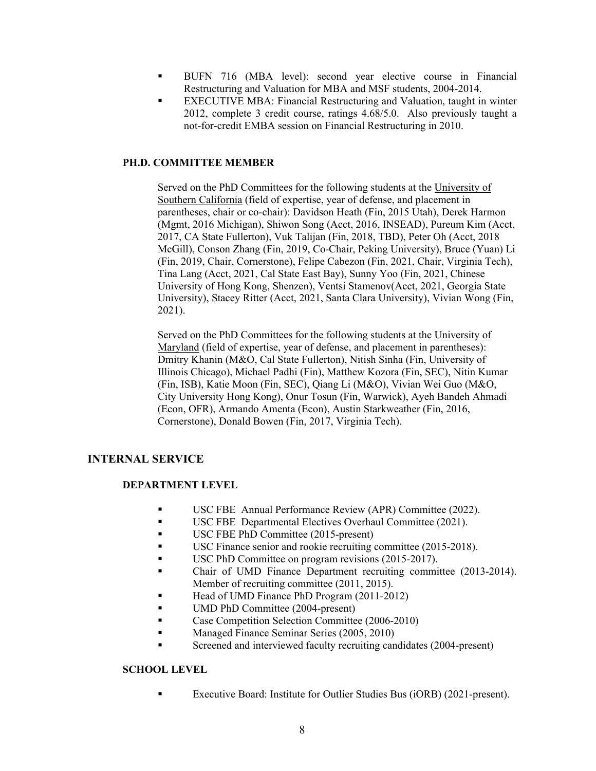- BUFN 716 (MBA level): second year elective course in Financial Restructuring and Valuation for MBA and MSF students, 2004-2014.
- EXECUTIVE MBA: Financial Restructuring and Valuation, taught in winter 2012, complete 3 credit course, ratings 4.68/5.0. Also previously taught a not-for-credit EMBA session on Financial Restructuring in 2010.

## **PH.D. COMMITTEE MEMBER**

Served on the PhD Committees for the following students at the University of Southern California (field of expertise, year of defense, and placement in parentheses, chair or co-chair): Davidson Heath (Fin, 2015 Utah), Derek Harmon (Mgmt, 2016 Michigan), Shiwon Song (Acct, 2016, INSEAD), Pureum Kim (Acct, 2017, CA State Fullerton), Vuk Talijan (Fin, 2018, TBD), Peter Oh (Acct, 2018 McGill), Conson Zhang (Fin, 2019, Co-Chair, Peking University), Bruce (Yuan) Li (Fin, 2019, Chair, Cornerstone), Felipe Cabezon (Fin, 2021, Chair, Virginia Tech), Tina Lang (Acct, 2021, Cal State East Bay), Sunny Yoo (Fin, 2021, Chinese University of Hong Kong, Shenzen), Ventsi Stamenov(Acct, 2021, Georgia State University), Stacey Ritter (Acct, 2021, Santa Clara University), Vivian Wong (Fin, 2021).

Served on the PhD Committees for the following students at the University of Maryland (field of expertise, year of defense, and placement in parentheses): Dmitry Khanin (M&O, Cal State Fullerton), Nitish Sinha (Fin, University of Illinois Chicago), Michael Padhi (Fin), Matthew Kozora (Fin, SEC), Nitin Kumar (Fin, ISB), Katie Moon (Fin, SEC), Qiang Li (M&O), Vivian Wei Guo (M&O, City University Hong Kong), Onur Tosun (Fin, Warwick), Ayeh Bandeh Ahmadi (Econ, OFR), Armando Amenta (Econ), Austin Starkweather (Fin, 2016, Cornerstone), Donald Bowen (Fin, 2017, Virginia Tech).

# **INTERNAL SERVICE**

## **DEPARTMENT LEVEL**

- USC FBE Annual Performance Review (APR) Committee (2022).
- USC FBE Departmental Electives Overhaul Committee (2021).
- USC FBE PhD Committee (2015-present)
- USC Finance senior and rookie recruiting committee (2015-2018).
- USC PhD Committee on program revisions (2015-2017).
- Chair of UMD Finance Department recruiting committee (2013-2014). Member of recruiting committee (2011, 2015).
- Head of UMD Finance PhD Program (2011-2012)
- UMD PhD Committee (2004-present)
- Case Competition Selection Committee (2006-2010)
- Managed Finance Seminar Series (2005, 2010)
- Screened and interviewed faculty recruiting candidates (2004-present)

## **SCHOOL LEVEL**

Executive Board: Institute for Outlier Studies Bus (iORB) (2021-present).